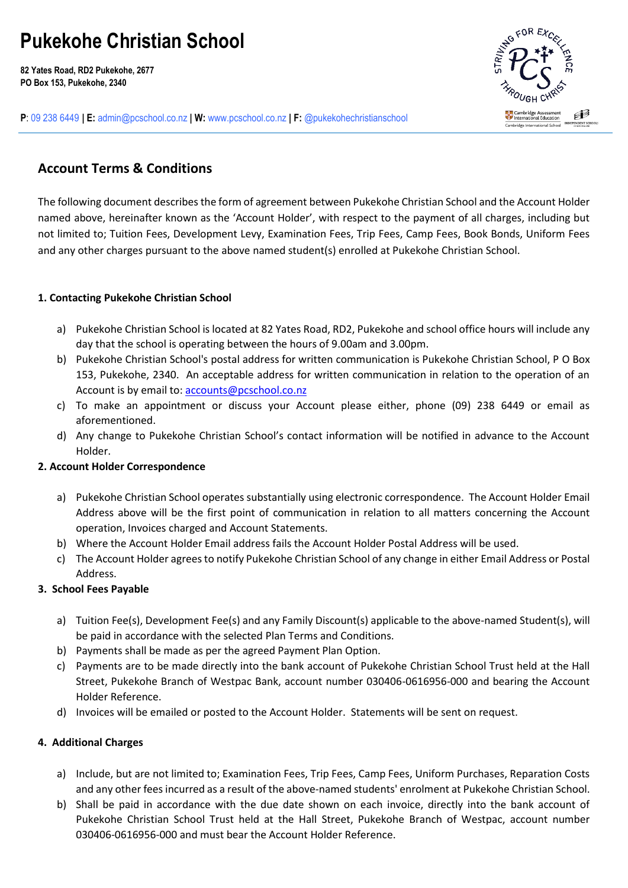# **Pukekohe Christian School**

**82 Yates Road, RD2 Pukekohe, 2677 PO Box 153, Pukekohe, 2340**



**P**: 09 238 6449 **| E:** [admin@pcschool.co.nz](mailto:admin@pcschool.co.nz) **| W:** [www.pcschool.co.nz](http://www.pcschool.co.nz/) **| F:** [@pukekohechristianschool](http://facebook.com/pukekohechristianschool/)

# **Account Terms & Conditions**

The following document describes the form of agreement between Pukekohe Christian School and the Account Holder named above, hereinafter known as the 'Account Holder', with respect to the payment of all charges, including but not limited to; Tuition Fees, Development Levy, Examination Fees, Trip Fees, Camp Fees, Book Bonds, Uniform Fees and any other charges pursuant to the above named student(s) enrolled at Pukekohe Christian School.

### **1. Contacting Pukekohe Christian School**

- a) Pukekohe Christian School is located at 82 Yates Road, RD2, Pukekohe and school office hours will include any day that the school is operating between the hours of 9.00am and 3.00pm.
- b) Pukekohe Christian School's postal address for written communication is Pukekohe Christian School, P O Box 153, Pukekohe, 2340. An acceptable address for written communication in relation to the operation of an Account is by email to[: accounts@pcschool.co.nz](mailto:accounts@pcschool.co.nz)
- c) To make an appointment or discuss your Account please either, phone (09) 238 6449 or email as aforementioned.
- d) Any change to Pukekohe Christian School's contact information will be notified in advance to the Account Holder.

#### **2. Account Holder Correspondence**

- a) Pukekohe Christian School operates substantially using electronic correspondence. The Account Holder Email Address above will be the first point of communication in relation to all matters concerning the Account operation, Invoices charged and Account Statements.
- b) Where the Account Holder Email address fails the Account Holder Postal Address will be used.
- c) The Account Holder agrees to notify Pukekohe Christian School of any change in either Email Address or Postal Address.

## **3. School Fees Payable**

- a) Tuition Fee(s), Development Fee(s) and any Family Discount(s) applicable to the above-named Student(s), will be paid in accordance with the selected Plan Terms and Conditions.
- b) Payments shall be made as per the agreed Payment Plan Option.
- c) Payments are to be made directly into the bank account of Pukekohe Christian School Trust held at the Hall Street, Pukekohe Branch of Westpac Bank, account number 030406-0616956-000 and bearing the Account Holder Reference.
- d) Invoices will be emailed or posted to the Account Holder. Statements will be sent on request.

#### **4. Additional Charges**

- a) Include, but are not limited to; Examination Fees, Trip Fees, Camp Fees, Uniform Purchases, Reparation Costs and any other fees incurred as a result of the above-named students' enrolment at Pukekohe Christian School.
- b) Shall be paid in accordance with the due date shown on each invoice, directly into the bank account of Pukekohe Christian School Trust held at the Hall Street, Pukekohe Branch of Westpac, account number 030406-0616956-000 and must bear the Account Holder Reference.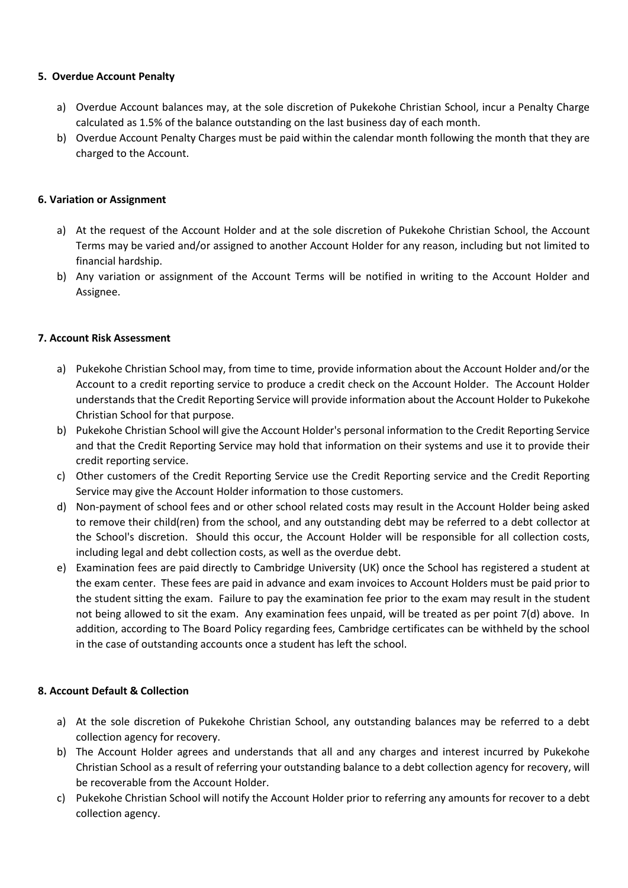#### **5. Overdue Account Penalty**

- a) Overdue Account balances may, at the sole discretion of Pukekohe Christian School, incur a Penalty Charge calculated as 1.5% of the balance outstanding on the last business day of each month.
- b) Overdue Account Penalty Charges must be paid within the calendar month following the month that they are charged to the Account.

#### **6. Variation or Assignment**

- a) At the request of the Account Holder and at the sole discretion of Pukekohe Christian School, the Account Terms may be varied and/or assigned to another Account Holder for any reason, including but not limited to financial hardship.
- b) Any variation or assignment of the Account Terms will be notified in writing to the Account Holder and Assignee.

#### **7. Account Risk Assessment**

- a) Pukekohe Christian School may, from time to time, provide information about the Account Holder and/or the Account to a credit reporting service to produce a credit check on the Account Holder. The Account Holder understands that the Credit Reporting Service will provide information about the Account Holder to Pukekohe Christian School for that purpose.
- b) Pukekohe Christian School will give the Account Holder's personal information to the Credit Reporting Service and that the Credit Reporting Service may hold that information on their systems and use it to provide their credit reporting service.
- c) Other customers of the Credit Reporting Service use the Credit Reporting service and the Credit Reporting Service may give the Account Holder information to those customers.
- d) Non-payment of school fees and or other school related costs may result in the Account Holder being asked to remove their child(ren) from the school, and any outstanding debt may be referred to a debt collector at the School's discretion. Should this occur, the Account Holder will be responsible for all collection costs, including legal and debt collection costs, as well as the overdue debt.
- e) Examination fees are paid directly to Cambridge University (UK) once the School has registered a student at the exam center. These fees are paid in advance and exam invoices to Account Holders must be paid prior to the student sitting the exam. Failure to pay the examination fee prior to the exam may result in the student not being allowed to sit the exam. Any examination fees unpaid, will be treated as per point 7(d) above. In addition, according to The Board Policy regarding fees, Cambridge certificates can be withheld by the school in the case of outstanding accounts once a student has left the school.

#### **8. Account Default & Collection**

- a) At the sole discretion of Pukekohe Christian School, any outstanding balances may be referred to a debt collection agency for recovery.
- b) The Account Holder agrees and understands that all and any charges and interest incurred by Pukekohe Christian School as a result of referring your outstanding balance to a debt collection agency for recovery, will be recoverable from the Account Holder.
- c) Pukekohe Christian School will notify the Account Holder prior to referring any amounts for recover to a debt collection agency.